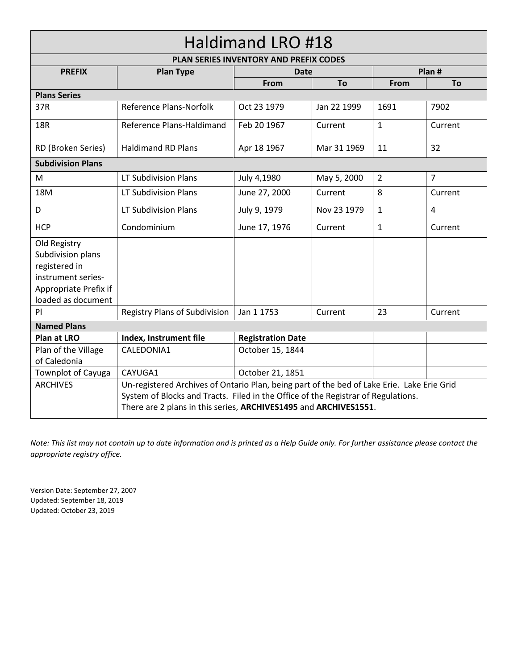## Haldimand LRO #18

| PLAN SERIES INVENTORY AND PREFIX CODES                                                                                  |                                                                                                                                                                                                                                                     |                          |             |                |                |  |  |  |
|-------------------------------------------------------------------------------------------------------------------------|-----------------------------------------------------------------------------------------------------------------------------------------------------------------------------------------------------------------------------------------------------|--------------------------|-------------|----------------|----------------|--|--|--|
| <b>PREFIX</b>                                                                                                           | <b>Plan Type</b>                                                                                                                                                                                                                                    | Date                     |             |                | Plan #         |  |  |  |
|                                                                                                                         |                                                                                                                                                                                                                                                     | From                     | To          | From           | To             |  |  |  |
| <b>Plans Series</b>                                                                                                     |                                                                                                                                                                                                                                                     |                          |             |                |                |  |  |  |
| 37R                                                                                                                     | Reference Plans-Norfolk                                                                                                                                                                                                                             | Oct 23 1979              | Jan 22 1999 | 1691           | 7902           |  |  |  |
| <b>18R</b>                                                                                                              | Reference Plans-Haldimand                                                                                                                                                                                                                           | Feb 20 1967              | Current     | 1              | Current        |  |  |  |
| RD (Broken Series)                                                                                                      | <b>Haldimand RD Plans</b>                                                                                                                                                                                                                           | 11                       | 32          |                |                |  |  |  |
| <b>Subdivision Plans</b>                                                                                                |                                                                                                                                                                                                                                                     |                          |             |                |                |  |  |  |
| M                                                                                                                       | LT Subdivision Plans                                                                                                                                                                                                                                | July 4,1980              | May 5, 2000 | $\overline{2}$ | $\overline{7}$ |  |  |  |
| 18M                                                                                                                     | LT Subdivision Plans                                                                                                                                                                                                                                | June 27, 2000            | Current     | 8              | Current        |  |  |  |
| D                                                                                                                       | <b>LT Subdivision Plans</b>                                                                                                                                                                                                                         | July 9, 1979             | Nov 23 1979 | $\mathbf{1}$   | 4              |  |  |  |
| <b>HCP</b>                                                                                                              | Condominium                                                                                                                                                                                                                                         | June 17, 1976            | Current     | 1              | Current        |  |  |  |
| Old Registry<br>Subdivision plans<br>registered in<br>instrument series-<br>Appropriate Prefix if<br>loaded as document |                                                                                                                                                                                                                                                     |                          |             |                |                |  |  |  |
| PI                                                                                                                      | <b>Registry Plans of Subdivision</b>                                                                                                                                                                                                                | Jan 1 1753               | Current     | 23             | Current        |  |  |  |
| <b>Named Plans</b>                                                                                                      |                                                                                                                                                                                                                                                     |                          |             |                |                |  |  |  |
| <b>Plan at LRO</b>                                                                                                      | Index, Instrument file                                                                                                                                                                                                                              | <b>Registration Date</b> |             |                |                |  |  |  |
| Plan of the Village<br>of Caledonia                                                                                     | CALEDONIA1                                                                                                                                                                                                                                          | October 15, 1844         |             |                |                |  |  |  |
| <b>Townplot of Cayuga</b>                                                                                               | CAYUGA1                                                                                                                                                                                                                                             | October 21, 1851         |             |                |                |  |  |  |
| <b>ARCHIVES</b>                                                                                                         | Un-registered Archives of Ontario Plan, being part of the bed of Lake Erie. Lake Erie Grid<br>System of Blocks and Tracts. Filed in the Office of the Registrar of Regulations.<br>There are 2 plans in this series, ARCHIVES1495 and ARCHIVES1551. |                          |             |                |                |  |  |  |

*Note: This list may not contain up to date information and is printed as a Help Guide only. For further assistance please contact the appropriate registry office.*

Version Date: September 27, 2007 Updated: September 18, 2019 Updated: October 23, 2019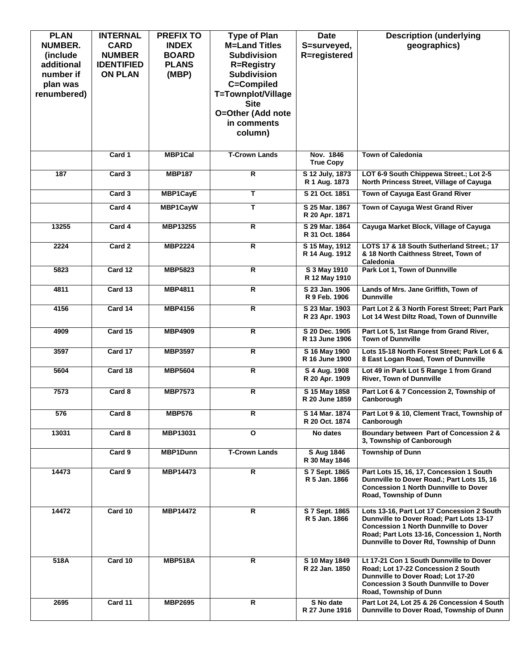| <b>PLAN</b>    | <b>INTERNAL</b>   | <b>PREFIX TO</b> | <b>Type of Plan</b>                        | <b>Date</b>                      | <b>Description (underlying</b>                                                             |
|----------------|-------------------|------------------|--------------------------------------------|----------------------------------|--------------------------------------------------------------------------------------------|
| <b>NUMBER.</b> | <b>CARD</b>       | <b>INDEX</b>     | <b>M=Land Titles</b><br><b>Subdivision</b> | S=surveyed,                      | geographics)                                                                               |
| (include)      | <b>NUMBER</b>     | <b>BOARD</b>     |                                            | R=registered                     |                                                                                            |
| additional     | <b>IDENTIFIED</b> | <b>PLANS</b>     | <b>R=Registry</b>                          |                                  |                                                                                            |
| number if      | <b>ON PLAN</b>    | (MBP)            | <b>Subdivision</b>                         |                                  |                                                                                            |
| plan was       |                   |                  | C=Compiled                                 |                                  |                                                                                            |
| renumbered)    |                   |                  | T=Townplot/Village                         |                                  |                                                                                            |
|                |                   |                  | <b>Site</b>                                |                                  |                                                                                            |
|                |                   |                  | O=Other (Add note                          |                                  |                                                                                            |
|                |                   |                  | in comments                                |                                  |                                                                                            |
|                |                   |                  | column)                                    |                                  |                                                                                            |
|                | Card 1            | <b>MBP1Cal</b>   | <b>T-Crown Lands</b>                       | Nov. 1846                        | <b>Town of Caledonia</b>                                                                   |
|                |                   |                  |                                            | <b>True Copy</b>                 |                                                                                            |
| 187            | Card 3            | <b>MBP187</b>    | R                                          | S 12 July, 1873<br>R 1 Aug. 1873 | LOT 6-9 South Chippewa Street.; Lot 2-5<br>North Princess Street, Village of Cayuga        |
|                | Card 3            | <b>MBP1CayE</b>  | т                                          | S 21 Oct. 1851                   | Town of Cayuga East Grand River                                                            |
|                | Card 4            | MBP1CayW         | T                                          | S 25 Mar. 1867                   | Town of Cayuga West Grand River                                                            |
|                |                   |                  |                                            | R 20 Apr. 1871                   |                                                                                            |
| 13255          | Card 4            | MBP13255         | R                                          | S 29 Mar. 1864<br>R 31 Oct. 1864 | Cayuga Market Block, Village of Cayuga                                                     |
| 2224           | Card 2            | <b>MBP2224</b>   | R                                          | S 15 May, 1912                   | LOTS 17 & 18 South Sutherland Street.; 17                                                  |
|                |                   |                  |                                            | R 14 Aug. 1912                   | & 18 North Caithness Street, Town of                                                       |
| 5823           | Card 12           | <b>MBP5823</b>   | R                                          | S 3 May 1910                     | Caledonia<br>Park Lot 1, Town of Dunnville                                                 |
|                |                   |                  |                                            | R 12 May 1910                    |                                                                                            |
| 4811           | Card 13           | <b>MBP4811</b>   | $\overline{R}$                             | S 23 Jan. 1906                   | Lands of Mrs. Jane Griffith, Town of                                                       |
|                |                   |                  |                                            | R 9 Feb. 1906                    | <b>Dunnville</b>                                                                           |
| 4156           | Card 14           | <b>MBP4156</b>   | $\mathsf{R}$                               | S 23 Mar. 1903<br>R 23 Apr. 1903 | Part Lot 2 & 3 North Forest Street; Part Park<br>Lot 14 West Diltz Road, Town of Dunnville |
|                |                   |                  |                                            |                                  |                                                                                            |
| 4909           | Card 15           | <b>MBP4909</b>   | R.                                         | S 20 Dec. 1905<br>R 13 June 1906 | Part Lot 5, 1st Range from Grand River,<br><b>Town of Dunnville</b>                        |
| 3597           | Card 17           | <b>MBP3597</b>   | R                                          | S 16 May 1900                    | Lots 15-18 North Forest Street; Park Lot 6 &                                               |
|                |                   |                  |                                            | R 16 June 1900                   | 8 East Logan Road, Town of Dunnville                                                       |
| 5604           | Card 18           | <b>MBP5604</b>   | $\overline{\mathsf{R}}$                    | S 4 Aug. 1908                    | Lot 49 in Park Lot 5 Range 1 from Grand                                                    |
|                |                   |                  |                                            | R 20 Apr. 1909                   | <b>River, Town of Dunnville</b>                                                            |
| 7573           | Card 8            | <b>MBP7573</b>   | R                                          | S 15 May 1858<br>R 20 June 1859  | Part Lot 6 & 7 Concession 2, Township of<br>Canborough                                     |
|                |                   |                  |                                            |                                  |                                                                                            |
| 576            | Card 8            | <b>MBP576</b>    | R                                          | S 14 Mar. 1874<br>R 20 Oct. 1874 | Part Lot 9 & 10, Clement Tract, Township of<br>Canborough                                  |
|                |                   |                  | $\mathbf{o}$                               |                                  |                                                                                            |
| 13031          | Card 8            | MBP13031         |                                            | No dates                         | Boundary between Part of Concession 2 &<br>3, Township of Canborough                       |
|                | Card 9            | <b>MBP1Dunn</b>  | <b>T-Crown Lands</b>                       | S Aug 1846                       | <b>Township of Dunn</b>                                                                    |
|                |                   |                  |                                            | R 30 May 1846                    |                                                                                            |
| 14473          | Card 9            | <b>MBP14473</b>  | R                                          | S 7 Sept. 1865<br>R 5 Jan. 1866  | Part Lots 15, 16, 17, Concession 1 South<br>Dunnville to Dover Road.; Part Lots 15, 16     |
|                |                   |                  |                                            |                                  | <b>Concession 1 North Dunnville to Dover</b>                                               |
|                |                   |                  |                                            |                                  | Road, Township of Dunn                                                                     |
| 14472          | Card 10           | <b>MBP14472</b>  | R                                          | S 7 Sept. 1865                   | Lots 13-16, Part Lot 17 Concession 2 South                                                 |
|                |                   |                  |                                            | R 5 Jan. 1866                    | Dunnville to Dover Road; Part Lots 13-17                                                   |
|                |                   |                  |                                            |                                  | <b>Concession 1 North Dunnville to Dover</b>                                               |
|                |                   |                  |                                            |                                  | Road; Part Lots 13-16, Concession 1, North                                                 |
|                |                   |                  |                                            |                                  | Dunnville to Dover Rd, Township of Dunn                                                    |
| 518A           | Card 10           | <b>MBP518A</b>   | R.                                         | S 10 May 1849                    | Lt 17-21 Con 1 South Dunnville to Dover                                                    |
|                |                   |                  |                                            | R 22 Jan. 1850                   | Road; Lot 17-22 Concession 2 South                                                         |
|                |                   |                  |                                            |                                  | Dunnville to Dover Road; Lot 17-20<br><b>Concession 3 South Dunnville to Dover</b>         |
|                |                   |                  |                                            |                                  | Road, Township of Dunn                                                                     |
| 2695           | Card 11           | <b>MBP2695</b>   | R                                          | S No date                        | Part Lot 24, Lot 25 & 26 Concession 4 South                                                |
|                |                   |                  |                                            | R 27 June 1916                   | Dunnville to Dover Road, Township of Dunn                                                  |
|                |                   |                  |                                            |                                  |                                                                                            |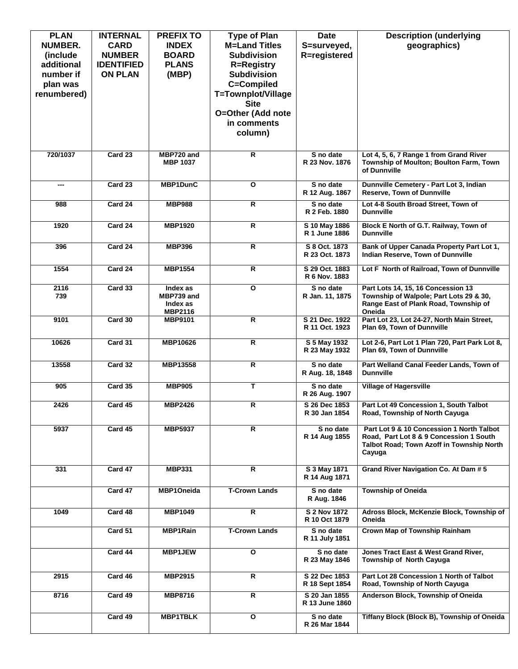| <b>PLAN</b><br><b>NUMBER.</b><br>(include)<br>additional<br>number if<br>plan was<br>renumbered)<br>720/1037 | <b>INTERNAL</b><br><b>CARD</b><br><b>NUMBER</b><br><b>IDENTIFIED</b><br><b>ON PLAN</b><br>Card 23 | <b>PREFIX TO</b><br><b>INDEX</b><br><b>BOARD</b><br><b>PLANS</b><br>(MBP)<br>MBP720 and | <b>Type of Plan</b><br><b>M=Land Titles</b><br><b>Subdivision</b><br><b>R=Registry</b><br><b>Subdivision</b><br>C=Compiled<br>T=Townplot/Village<br><b>Site</b><br>O=Other (Add note<br>in comments<br>column)<br>$\overline{R}$ | <b>Date</b><br>S=surveyed,<br>R=registered<br>S no date | <b>Description (underlying</b><br>geographics)<br>Lot 4, 5, 6, 7 Range 1 from Grand River                                                   |
|--------------------------------------------------------------------------------------------------------------|---------------------------------------------------------------------------------------------------|-----------------------------------------------------------------------------------------|----------------------------------------------------------------------------------------------------------------------------------------------------------------------------------------------------------------------------------|---------------------------------------------------------|---------------------------------------------------------------------------------------------------------------------------------------------|
|                                                                                                              |                                                                                                   | <b>MBP 1037</b>                                                                         |                                                                                                                                                                                                                                  | R 23 Nov. 1876                                          | Township of Moulton; Boulton Farm, Town<br>of Dunnville                                                                                     |
| ---                                                                                                          | Card 23                                                                                           | MBP1DunC                                                                                | $\overline{\mathbf{o}}$                                                                                                                                                                                                          | S no date<br>R 12 Aug. 1867                             | Dunnville Cemetery - Part Lot 3, Indian<br><b>Reserve, Town of Dunnville</b>                                                                |
| 988                                                                                                          | Card 24                                                                                           | <b>MBP988</b>                                                                           | R                                                                                                                                                                                                                                | S no date<br>R 2 Feb. 1880                              | Lot 4-8 South Broad Street, Town of<br><b>Dunnville</b>                                                                                     |
| 1920                                                                                                         | Card 24                                                                                           | <b>MBP1920</b>                                                                          | R                                                                                                                                                                                                                                | S 10 May 1886<br>R 1 June 1886                          | Block E North of G.T. Railway, Town of<br><b>Dunnville</b>                                                                                  |
| 396                                                                                                          | Card 24                                                                                           | <b>MBP396</b>                                                                           | $\overline{\mathbf{R}}$                                                                                                                                                                                                          | S 8 Oct. 1873<br>R 23 Oct. 1873                         | Bank of Upper Canada Property Part Lot 1,<br>Indian Reserve, Town of Dunnville                                                              |
| 1554                                                                                                         | Card 24                                                                                           | <b>MBP1554</b>                                                                          | $\overline{\mathbf{R}}$                                                                                                                                                                                                          | S 29 Oct. 1883<br>R 6 Nov. 1883                         | Lot F North of Railroad, Town of Dunnville                                                                                                  |
| 2116<br>739                                                                                                  | Card 33                                                                                           | Index as<br>MBP739 and<br>Index as<br><b>MBP2116</b>                                    | O                                                                                                                                                                                                                                | S no date<br>R Jan. 11, 1875                            | Part Lots 14, 15, 16 Concession 13<br>Township of Walpole; Part Lots 29 & 30,<br>Range East of Plank Road, Township of<br>Oneida            |
| 9101                                                                                                         | Card 30                                                                                           | <b>MBP9101</b>                                                                          | $\overline{R}$                                                                                                                                                                                                                   | S 21 Dec. 1922<br>R 11 Oct. 1923                        | Part Lot 23, Lot 24-27, North Main Street,<br>Plan 69, Town of Dunnville                                                                    |
| 10626                                                                                                        | Card 31                                                                                           | <b>MBP10626</b>                                                                         | R                                                                                                                                                                                                                                | S 5 May 1932<br>R 23 May 1932                           | Lot 2-6, Part Lot 1 Plan 720, Part Park Lot 8,<br>Plan 69, Town of Dunnville                                                                |
| 13558                                                                                                        | Card 32                                                                                           | MBP13558                                                                                | $\mathsf{R}$                                                                                                                                                                                                                     | S no date<br>R Aug. 18, 1848                            | Part Welland Canal Feeder Lands, Town of<br><b>Dunnville</b>                                                                                |
| 905                                                                                                          | Card 35                                                                                           | <b>MBP905</b>                                                                           | T                                                                                                                                                                                                                                | S no date<br>R 26 Aug. 1907                             | <b>Village of Hagersville</b>                                                                                                               |
| 2426                                                                                                         | Card 45                                                                                           | MBP2426                                                                                 | R                                                                                                                                                                                                                                | S 26 Dec 1853<br>R 30 Jan 1854                          | Part Lot 49 Concession 1, South Talbot<br>Road, Township of North Cayuga                                                                    |
| 5937                                                                                                         | Card 45                                                                                           | <b>MBP5937</b>                                                                          | R                                                                                                                                                                                                                                | S no date<br>R 14 Aug 1855                              | Part Lot 9 & 10 Concession 1 North Talbot<br>Road, Part Lot 8 & 9 Concession 1 South<br>Talbot Road; Town Azoff in Township North<br>Cayuga |
| 331                                                                                                          | Card 47                                                                                           | <b>MBP331</b>                                                                           | R.                                                                                                                                                                                                                               | S 3 May 1871<br>R 14 Aug 1871                           | Grand River Navigation Co. At Dam # 5                                                                                                       |
|                                                                                                              | Card 47                                                                                           | MBP1Oneida                                                                              | <b>T-Crown Lands</b>                                                                                                                                                                                                             | S no date<br>R Aug. 1846                                | <b>Township of Oneida</b>                                                                                                                   |
| 1049                                                                                                         | Card 48                                                                                           | <b>MBP1049</b>                                                                          | $\mathsf{R}$                                                                                                                                                                                                                     | S 2 Nov 1872<br>R 10 Oct 1879                           | Adross Block, McKenzie Block, Township of<br>Oneida                                                                                         |
|                                                                                                              | Card 51                                                                                           | <b>MBP1Rain</b>                                                                         | <b>T-Crown Lands</b>                                                                                                                                                                                                             | S no date<br>R 11 July 1851                             | Crown Map of Township Rainham                                                                                                               |
|                                                                                                              | Card 44                                                                                           | <b>MBP1JEW</b>                                                                          | $\mathbf{o}$                                                                                                                                                                                                                     | S no date<br>R 23 May 1846                              | Jones Tract East & West Grand River,<br><b>Township of North Cayuga</b>                                                                     |
| 2915                                                                                                         | Card 46                                                                                           | MBP2915                                                                                 | R                                                                                                                                                                                                                                | S 22 Dec 1853<br>R 18 Sept 1854                         | Part Lot 28 Concession 1 North of Talbot<br>Road, Township of North Cayuga                                                                  |
| 8716                                                                                                         | Card 49                                                                                           | <b>MBP8716</b>                                                                          | R                                                                                                                                                                                                                                | S 20 Jan 1855<br>R 13 June 1860                         | Anderson Block, Township of Oneida                                                                                                          |
|                                                                                                              | Card 49                                                                                           | <b>MBP1TBLK</b>                                                                         | O                                                                                                                                                                                                                                | S no date<br>R 26 Mar 1844                              | Tiffany Block (Block B), Township of Oneida                                                                                                 |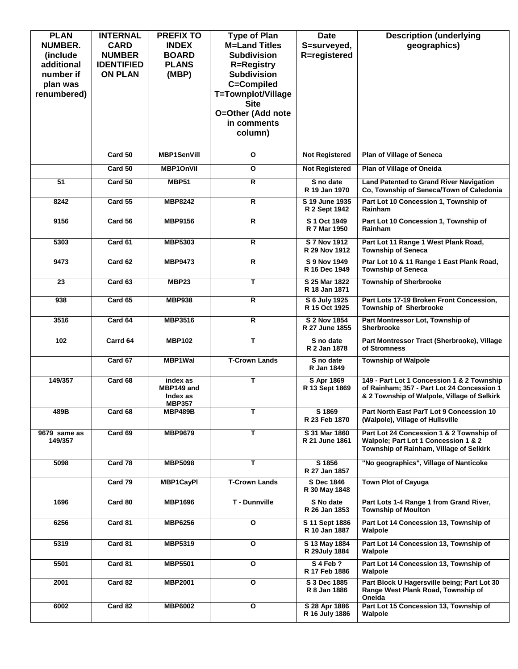| <b>PLAN</b>    | <b>INTERNAL</b>   | <b>PREFIX TO</b>       | <b>Type of Plan</b>     | <b>Date</b>                     | <b>Description (underlying</b>                                                             |
|----------------|-------------------|------------------------|-------------------------|---------------------------------|--------------------------------------------------------------------------------------------|
| <b>NUMBER.</b> | <b>CARD</b>       | <b>INDEX</b>           | <b>M=Land Titles</b>    | S=surveyed,                     | geographics)                                                                               |
| (include)      | <b>NUMBER</b>     | <b>BOARD</b>           | <b>Subdivision</b>      | R=registered                    |                                                                                            |
| additional     | <b>IDENTIFIED</b> | <b>PLANS</b>           | <b>R=Registry</b>       |                                 |                                                                                            |
| number if      | <b>ON PLAN</b>    | (MBP)                  | <b>Subdivision</b>      |                                 |                                                                                            |
| plan was       |                   |                        | C=Compiled              |                                 |                                                                                            |
| renumbered)    |                   |                        | T=Townplot/Village      |                                 |                                                                                            |
|                |                   |                        | <b>Site</b>             |                                 |                                                                                            |
|                |                   |                        | O=Other (Add note       |                                 |                                                                                            |
|                |                   |                        | in comments             |                                 |                                                                                            |
|                |                   |                        | column)                 |                                 |                                                                                            |
|                |                   |                        |                         |                                 |                                                                                            |
|                | Card 50           | <b>MBP1SenVill</b>     | O                       | <b>Not Registered</b>           | <b>Plan of Village of Seneca</b>                                                           |
|                | Card 50           | <b>MBP1OnVil</b>       | $\mathbf{o}$            | <b>Not Registered</b>           | Plan of Village of Oneida                                                                  |
| 51             | Card 50           | <b>MBP51</b>           | R                       | S no date<br>R 19 Jan 1970      | <b>Land Patented to Grand River Navigation</b><br>Co, Township of Seneca/Town of Caledonia |
| 8242           | Card 55           | <b>MBP8242</b>         | R                       | S 19 June 1935                  | Part Lot 10 Concession 1, Township of                                                      |
|                |                   |                        |                         | R 2 Sept 1942                   | <b>Rainham</b>                                                                             |
| 9156           | Card 56           | <b>MBP9156</b>         | R.                      | S 1 Oct 1949<br>R 7 Mar 1950    | Part Lot 10 Concession 1, Township of<br><b>Rainham</b>                                    |
|                |                   |                        |                         |                                 |                                                                                            |
| 5303           | Card 61           | <b>MBP5303</b>         | R                       | S 7 Nov 1912<br>R 29 Nov 1912   | Part Lot 11 Range 1 West Plank Road,<br><b>Township of Seneca</b>                          |
| 9473           | Card 62           | <b>MBP9473</b>         | R                       | S 9 Nov 1949                    | Ptar Lot 10 & 11 Range 1 East Plank Road,                                                  |
|                |                   |                        |                         | R 16 Dec 1949                   | <b>Township of Seneca</b>                                                                  |
| 23             | Card 63           | MBP23                  | т                       | S 25 Mar 1822                   | <b>Township of Sherbrooke</b>                                                              |
|                |                   |                        |                         | R 18 Jan 1871                   |                                                                                            |
| 938            | Card 65           | <b>MBP938</b>          | $\overline{R}$          | S 6 July 1925                   | Part Lots 17-19 Broken Front Concession,                                                   |
|                |                   |                        |                         | R 15 Oct 1925                   | <b>Township of Sherbrooke</b>                                                              |
| 3516           | Card 64           | <b>MBP3516</b>         | R                       | S 2 Nov 1854<br>R 27 June 1855  | Part Montressor Lot, Township of<br><b>Sherbrooke</b>                                      |
|                |                   |                        | T                       |                                 |                                                                                            |
| 102            | Carrd 64          | <b>MBP102</b>          |                         | S no date<br>R 2 Jan 1878       | Part Montressor Tract (Sherbrooke), Village<br>of Stromness                                |
|                | Card 67           | <b>MBP1Wal</b>         | <b>T-Crown Lands</b>    | S no date                       | <b>Township of Walpole</b>                                                                 |
|                |                   |                        |                         | R Jan 1849                      |                                                                                            |
| 149/357        | Card 68           | index as               | т                       | S Apr 1869                      | 149 - Part Lot 1 Concession 1 & 2 Township                                                 |
|                |                   | MBP149 and<br>Index as |                         | R 13 Sept 1869                  | of Rainham: 357 - Part Lot 24 Concession 1<br>& 2 Township of Walpole, Village of Selkirk  |
|                |                   | <b>MBP357</b>          |                         |                                 |                                                                                            |
| 489B           | Card 68           | <b>MBP489B</b>         | т                       | S 1869                          | Part North East ParT Lot 9 Concession 10                                                   |
|                |                   |                        |                         | R 23 Feb 1870                   | (Walpole), Village of Hullsville                                                           |
| 9679 same as   | Card 69           | <b>MBP9679</b>         | т                       | S 31 Mar 1860                   | Part Lot 24 Concession 1 & 2 Township of                                                   |
| 149/357        |                   |                        |                         | R 21 June 1861                  | Walpole; Part Lot 1 Concession 1 & 2                                                       |
|                |                   |                        |                         |                                 | Township of Rainham, Village of Selkirk                                                    |
| 5098           | Card 78           | <b>MBP5098</b>         | т                       | S 1856<br>R 27 Jan 1857         | "No geographics", Village of Nanticoke                                                     |
|                | Card 79           | <b>MBP1CayPI</b>       | <b>T-Crown Lands</b>    | S Dec 1846                      | <b>Town Plot of Cayuga</b>                                                                 |
|                |                   |                        |                         | R 30 May 1848                   |                                                                                            |
| 1696           | Card 80           | <b>MBP1696</b>         | T - Dunnville           | S No date                       | Part Lots 1-4 Range 1 from Grand River,                                                    |
|                |                   |                        |                         | R 26 Jan 1853                   | <b>Township of Moulton</b>                                                                 |
| 6256           | Card 81           | <b>MBP6256</b>         | O                       | S 11 Sept 1886                  | Part Lot 14 Concession 13, Township of                                                     |
|                |                   |                        |                         | R 10 Jan 1887                   | Walpole                                                                                    |
| 5319           | Card 81           | <b>MBP5319</b>         | $\overline{\mathbf{o}}$ | S 13 May 1884                   | Part Lot 14 Concession 13, Township of                                                     |
|                |                   |                        |                         | R 29July 1884                   | Walpole                                                                                    |
| 5501           | Card 81           | <b>MBP5501</b>         | $\overline{\mathbf{o}}$ | S 4 Feb ?<br>R 17 Feb 1886      | Part Lot 14 Concession 13, Township of<br>Walpole                                          |
| 2001           | Card 82           | <b>MBP2001</b>         | $\mathbf{o}$            | S 3 Dec 1885                    | Part Block U Hagersville being; Part Lot 30                                                |
|                |                   |                        |                         | R 8 Jan 1886                    | Range West Plank Road, Township of                                                         |
|                |                   |                        |                         |                                 | Oneida                                                                                     |
| 6002           | Card 82           | <b>MBP6002</b>         | O                       | S 28 Apr 1886<br>R 16 July 1886 | Part Lot 15 Concession 13, Township of<br>Walpole                                          |
|                |                   |                        |                         |                                 |                                                                                            |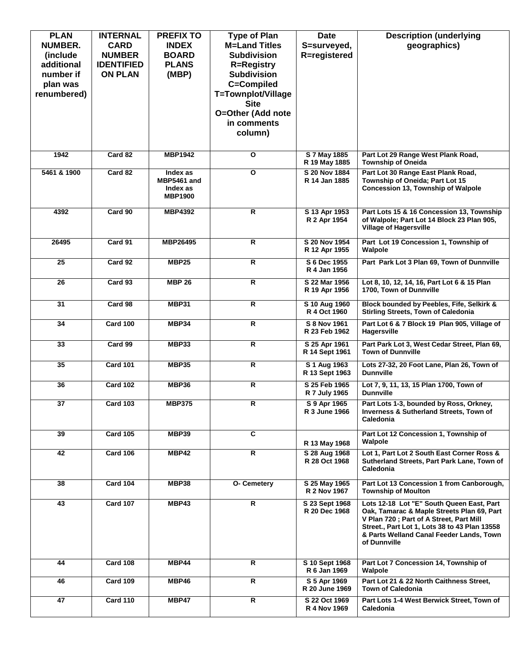| <b>PLAN</b>             | <b>INTERNAL</b>   | <b>PREFIX TO</b>        | <b>Type of Plan</b>              | <b>Date</b>                     | <b>Description (underlying</b>                                                          |
|-------------------------|-------------------|-------------------------|----------------------------------|---------------------------------|-----------------------------------------------------------------------------------------|
| <b>NUMBER.</b>          | <b>CARD</b>       | <b>INDEX</b>            | <b>M=Land Titles</b>             | S=surveyed,                     | geographics)                                                                            |
| (include)               | <b>NUMBER</b>     | <b>BOARD</b>            | <b>Subdivision</b>               | R=registered                    |                                                                                         |
| additional              | <b>IDENTIFIED</b> | <b>PLANS</b>            | <b>R=Registry</b>                |                                 |                                                                                         |
| number if               | <b>ON PLAN</b>    | (MBP)                   | <b>Subdivision</b><br>C=Compiled |                                 |                                                                                         |
| plan was<br>renumbered) |                   |                         | T=Townplot/Village               |                                 |                                                                                         |
|                         |                   |                         | <b>Site</b>                      |                                 |                                                                                         |
|                         |                   |                         | O=Other (Add note                |                                 |                                                                                         |
|                         |                   |                         | in comments                      |                                 |                                                                                         |
|                         |                   |                         | column)                          |                                 |                                                                                         |
|                         |                   |                         |                                  |                                 |                                                                                         |
| 1942                    | Card 82           | <b>MBP1942</b>          | O                                | S 7 May 1885<br>R 19 May 1885   | Part Lot 29 Range West Plank Road,<br><b>Township of Oneida</b>                         |
| 5461 & 1900             | Card 82           | Index as                | $\overline{\mathbf{o}}$          | S 20 Nov 1884                   | Part Lot 30 Range East Plank Road,                                                      |
|                         |                   | MBP5461 and<br>Index as |                                  | R 14 Jan 1885                   | Township of Oneida; Part Lot 15<br><b>Concession 13, Township of Walpole</b>            |
|                         |                   | <b>MBP1900</b>          |                                  |                                 |                                                                                         |
|                         |                   |                         |                                  |                                 |                                                                                         |
| 4392                    | Card 90           | <b>MBP4392</b>          | R                                | S 13 Apr 1953<br>R 2 Apr 1954   | Part Lots 15 & 16 Concession 13, Township<br>of Walpole; Part Lot 14 Block 23 Plan 905, |
|                         |                   |                         |                                  |                                 | <b>Village of Hagersville</b>                                                           |
| 26495                   | Card 91           | MBP26495                | R                                | S 20 Nov 1954                   | Part Lot 19 Concession 1. Township of                                                   |
|                         |                   |                         |                                  | R 12 Apr 1955                   | Walpole                                                                                 |
| 25                      | Card 92           | <b>MBP25</b>            | R                                | S 6 Dec 1955                    | Part Park Lot 3 Plan 69, Town of Dunnville                                              |
|                         |                   |                         |                                  | R 4 Jan 1956                    |                                                                                         |
| 26                      | Card 93           | <b>MBP 26</b>           | R                                | S 22 Mar 1956                   | Lot 8, 10, 12, 14, 16, Part Lot 6 & 15 Plan                                             |
|                         |                   |                         |                                  | R 19 Apr 1956                   | 1700, Town of Dunnville                                                                 |
| 31                      | Card 98           | MBP31                   | R                                | S 10 Aug 1960<br>R 4 Oct 1960   | Block bounded by Peebles, Fife, Selkirk &<br><b>Stirling Streets, Town of Caledonia</b> |
|                         |                   |                         |                                  |                                 |                                                                                         |
| 34                      | <b>Card 100</b>   | MBP34                   | R                                | S 8 Nov 1961<br>R 23 Feb 1962   | Part Lot 6 & 7 Block 19 Plan 905, Village of<br>Hagersville                             |
| 33                      | Card 99           | <b>MBP33</b>            | R                                | S 25 Apr 1961                   | Part Park Lot 3, West Cedar Street, Plan 69,                                            |
|                         |                   |                         |                                  | R 14 Sept 1961                  | <b>Town of Dunnville</b>                                                                |
| 35                      | <b>Card 101</b>   | <b>MBP35</b>            | R                                | S 1 Aug 1963                    | Lots 27-32, 20 Foot Lane, Plan 26, Town of                                              |
|                         |                   |                         |                                  | R 13 Sept 1963                  | <b>Dunnville</b>                                                                        |
| 36                      | <b>Card 102</b>   | <b>MBP36</b>            | R                                | S 25 Feb 1965                   | Lot 7, 9, 11, 13, 15 Plan 1700, Town of                                                 |
|                         |                   |                         |                                  | R 7 July 1965                   | <b>Dunnville</b>                                                                        |
| $\overline{37}$         | <b>Card 103</b>   | <b>MBP375</b>           | $\overline{\mathsf{R}}$          | S 9 Apr 1965                    | Part Lots 1-3, bounded by Ross, Orkney,                                                 |
|                         |                   |                         |                                  | R 3 June 1966                   | <b>Inverness &amp; Sutherland Streets, Town of</b><br><b>Caledonia</b>                  |
| 39                      | <b>Card 105</b>   | <b>MBP39</b>            | $\overline{\mathbf{c}}$          |                                 |                                                                                         |
|                         |                   |                         |                                  | R 13 May 1968                   | Part Lot 12 Concession 1, Township of<br>Walpole                                        |
| 42                      | <b>Card 106</b>   | MBP42                   | R                                | S 28 Aug 1968                   | Lot 1, Part Lot 2 South East Corner Ross &                                              |
|                         |                   |                         |                                  | R 28 Oct 1968                   | Sutherland Streets, Part Park Lane, Town of                                             |
|                         |                   |                         |                                  |                                 | <b>Caledonia</b>                                                                        |
| 38                      | <b>Card 104</b>   | <b>MBP38</b>            | O- Cemetery                      | S 25 May 1965                   | Part Lot 13 Concession 1 from Canborough,                                               |
|                         |                   |                         |                                  | R 2 Nov 1967                    | <b>Township of Moulton</b>                                                              |
| 43                      | <b>Card 107</b>   | MBP43                   | R.                               | S 23 Sept 1968<br>R 20 Dec 1968 | Lots 12-18 Lot "E" South Queen East, Part<br>Oak, Tamarac & Maple Streets Plan 69, Part |
|                         |                   |                         |                                  |                                 | V Plan 720; Part of A Street, Part Mill                                                 |
|                         |                   |                         |                                  |                                 | Street., Part Lot 1, Lots 38 to 43 Plan 13558                                           |
|                         |                   |                         |                                  |                                 | & Parts Welland Canal Feeder Lands, Town<br>of Dunnville                                |
|                         |                   |                         |                                  |                                 |                                                                                         |
| 44                      | <b>Card 108</b>   | MBP44                   | R                                | S 10 Sept 1968                  | Part Lot 7 Concession 14, Township of                                                   |
|                         |                   |                         |                                  | R 6 Jan 1969                    | Walpole                                                                                 |
| 46                      | <b>Card 109</b>   | MBP46                   | R                                | S 5 Apr 1969                    | Part Lot 21 & 22 North Caithness Street,                                                |
|                         |                   |                         | $\overline{R}$                   | R 20 June 1969                  | <b>Town of Caledonia</b>                                                                |
| 47                      | <b>Card 110</b>   | MBP47                   |                                  | S 22 Oct 1969<br>R 4 Nov 1969   | Part Lots 1-4 West Berwick Street, Town of<br>Caledonia                                 |
|                         |                   |                         |                                  |                                 |                                                                                         |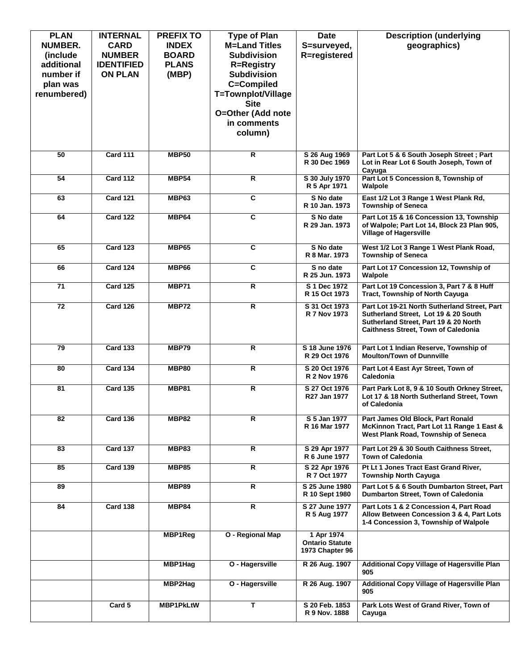| <b>PLAN</b><br><b>NUMBER.</b><br>(include) | <b>INTERNAL</b><br><b>CARD</b><br><b>NUMBER</b> | <b>PREFIX TO</b><br><b>INDEX</b><br><b>BOARD</b> | <b>Type of Plan</b><br><b>M=Land Titles</b><br><b>Subdivision</b> | <b>Date</b><br>S=surveyed,<br>R=registered              | <b>Description (underlying</b><br>geographics)                                                                                                                       |
|--------------------------------------------|-------------------------------------------------|--------------------------------------------------|-------------------------------------------------------------------|---------------------------------------------------------|----------------------------------------------------------------------------------------------------------------------------------------------------------------------|
| additional                                 | <b>IDENTIFIED</b>                               | <b>PLANS</b>                                     | <b>R=Registry</b>                                                 |                                                         |                                                                                                                                                                      |
| number if                                  | <b>ON PLAN</b>                                  | (MBP)                                            | <b>Subdivision</b>                                                |                                                         |                                                                                                                                                                      |
| plan was                                   |                                                 |                                                  | C=Compiled                                                        |                                                         |                                                                                                                                                                      |
| renumbered)                                |                                                 |                                                  | T=Townplot/Village                                                |                                                         |                                                                                                                                                                      |
|                                            |                                                 |                                                  | <b>Site</b><br>O=Other (Add note                                  |                                                         |                                                                                                                                                                      |
|                                            |                                                 |                                                  | in comments                                                       |                                                         |                                                                                                                                                                      |
|                                            |                                                 |                                                  | column)                                                           |                                                         |                                                                                                                                                                      |
|                                            |                                                 |                                                  |                                                                   |                                                         |                                                                                                                                                                      |
| 50                                         | <b>Card 111</b>                                 | <b>MBP50</b>                                     | $\overline{\mathsf{R}}$                                           | S 26 Aug 1969<br>R 30 Dec 1969                          | Part Lot 5 & 6 South Joseph Street; Part<br>Lot in Rear Lot 6 South Joseph, Town of<br>Cayuga                                                                        |
| 54                                         | <b>Card 112</b>                                 | <b>MBP54</b>                                     | $\overline{\mathbf{R}}$                                           | S 30 July 1970<br>R 5 Apr 1971                          | Part Lot 5 Concession 8, Township of<br>Walpole                                                                                                                      |
| 63                                         | <b>Card 121</b>                                 | <b>MBP63</b>                                     | $\overline{\mathbf{c}}$                                           | S No date<br>R 10 Jan. 1973                             | East 1/2 Lot 3 Range 1 West Plank Rd,<br><b>Township of Seneca</b>                                                                                                   |
| 64                                         | <b>Card 122</b>                                 | MBP64                                            | $\overline{\mathbf{c}}$                                           | S No date<br>R 29 Jan. 1973                             | Part Lot 15 & 16 Concession 13, Township<br>of Walpole; Part Lot 14, Block 23 Plan 905,<br><b>Village of Hagersville</b>                                             |
| 65                                         | <b>Card 123</b>                                 | <b>MBP65</b>                                     | $\overline{\mathbf{c}}$                                           | S No date<br>R 8 Mar. 1973                              | West 1/2 Lot 3 Range 1 West Plank Road,<br><b>Township of Seneca</b>                                                                                                 |
| 66                                         | <b>Card 124</b>                                 | <b>MBP66</b>                                     | $\overline{\mathbf{c}}$                                           | S no date<br>R 25 Jun. 1973                             | Part Lot 17 Concession 12, Township of<br>Walpole                                                                                                                    |
| $\overline{71}$                            | <b>Card 125</b>                                 | <b>MBP71</b>                                     | $\overline{\mathbf{R}}$                                           | S 1 Dec 1972<br>R 15 Oct 1973                           | Part Lot 19 Concession 3, Part 7 & 8 Huff<br>Tract, Township of North Cayuga                                                                                         |
| $\overline{72}$                            | <b>Card 126</b>                                 | MBP72                                            | $\overline{R}$                                                    | S 31 Oct 1973<br>R 7 Nov 1973                           | Part Lot 19-21 North Sutherland Street, Part<br>Sutherland Street, Lot 19 & 20 South<br>Sutherland Street, Part 19 & 20 North<br>Caithness Street, Town of Caledonia |
| $\overline{79}$                            | <b>Card 133</b>                                 | MBP79                                            | R                                                                 | S 18 June 1976<br>R 29 Oct 1976                         | Part Lot 1 Indian Reserve, Township of<br><b>Moulton/Town of Dunnville</b>                                                                                           |
| 80                                         | <b>Card 134</b>                                 | <b>MBP80</b>                                     | $\overline{\mathbf{R}}$                                           | S 20 Oct 1976<br>R 2 Nov 1976                           | Part Lot 4 East Ayr Street, Town of<br>Caledonia                                                                                                                     |
| 81                                         | <b>Card 135</b>                                 | <b>MBP81</b>                                     | $\overline{\mathbf{R}}$                                           | S 27 Oct 1976<br>R27 Jan 1977                           | Part Park Lot 8, 9 & 10 South Orkney Street,<br>Lot 17 & 18 North Sutherland Street, Town<br>of Caledonia                                                            |
| 82                                         | <b>Card 136</b>                                 | <b>MBP82</b>                                     | R                                                                 | S 5 Jan 1977<br>R 16 Mar 1977                           | Part James Old Block, Part Ronald<br>McKinnon Tract, Part Lot 11 Range 1 East &<br>West Plank Road, Township of Seneca                                               |
| 83                                         | <b>Card 137</b>                                 | <b>MBP83</b>                                     | R.                                                                | S 29 Apr 1977<br>R 6 June 1977                          | Part Lot 29 & 30 South Caithness Street,<br>Town of Caledonia                                                                                                        |
| 85                                         | <b>Card 139</b>                                 | <b>MBP85</b>                                     | R                                                                 | S 22 Apr 1976<br>R 7 Oct 1977                           | Pt Lt 1 Jones Tract East Grand River,<br><b>Township North Cayuga</b>                                                                                                |
| 89                                         |                                                 | <b>MBP89</b>                                     | R                                                                 | S 25 June 1980<br>R 10 Sept 1980                        | Part Lot 5 & 6 South Dumbarton Street, Part<br>Dumbarton Street, Town of Caledonia                                                                                   |
| 84                                         | <b>Card 138</b>                                 | <b>MBP84</b>                                     | R                                                                 | S 27 June 1977<br>R 5 Aug 1977                          | Part Lots 1 & 2 Concession 4, Part Road<br>Allow Between Concession 3 & 4, Part Lots<br>1-4 Concession 3, Township of Walpole                                        |
|                                            |                                                 | MBP1Reg                                          | O - Regional Map                                                  | 1 Apr 1974<br><b>Ontario Statute</b><br>1973 Chapter 96 |                                                                                                                                                                      |
|                                            |                                                 | MBP1Hag                                          | O - Hagersville                                                   | R 26 Aug. 1907                                          | Additional Copy Village of Hagersville Plan<br>905                                                                                                                   |
|                                            |                                                 | MBP2Hag                                          | O - Hagersville                                                   | R 26 Aug. 1907                                          | Additional Copy Village of Hagersville Plan<br>905                                                                                                                   |
|                                            | Card 5                                          | <b>MBP1PkLtW</b>                                 | т                                                                 | S 20 Feb. 1853<br>R 9 Nov. 1888                         | Park Lots West of Grand River, Town of<br>Cayuga                                                                                                                     |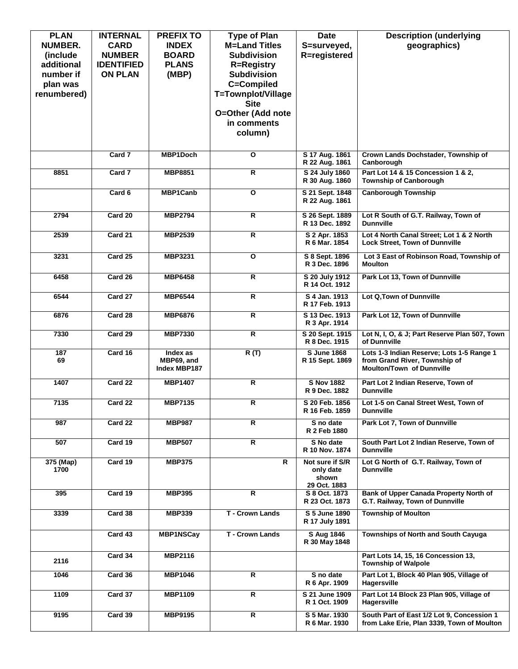| <b>PLAN</b><br>NUMBER.<br>(include)<br>additional<br>number if<br>plan was<br>renumbered) | <b>INTERNAL</b><br><b>CARD</b><br><b>NUMBER</b><br><b>IDENTIFIED</b><br><b>ON PLAN</b> | <b>PREFIX TO</b><br><b>INDEX</b><br><b>BOARD</b><br><b>PLANS</b><br>(MBP) | <b>Type of Plan</b><br><b>M=Land Titles</b><br><b>Subdivision</b><br><b>R=Registry</b><br><b>Subdivision</b><br>C=Compiled<br>T=Townplot/Village<br><b>Site</b><br>O=Other (Add note<br>in comments | <b>Date</b><br>S=surveyed,<br>R=registered            | <b>Description (underlying</b><br>geographics)                                                                 |
|-------------------------------------------------------------------------------------------|----------------------------------------------------------------------------------------|---------------------------------------------------------------------------|-----------------------------------------------------------------------------------------------------------------------------------------------------------------------------------------------------|-------------------------------------------------------|----------------------------------------------------------------------------------------------------------------|
|                                                                                           | Card 7                                                                                 | <b>MBP1Doch</b>                                                           | column)<br>O                                                                                                                                                                                        | S 17 Aug. 1861                                        | Crown Lands Dochstader, Township of                                                                            |
|                                                                                           |                                                                                        |                                                                           |                                                                                                                                                                                                     | R 22 Aug. 1861                                        | Canborough                                                                                                     |
| 8851                                                                                      | Card 7                                                                                 | <b>MBP8851</b>                                                            | $\overline{\mathsf{R}}$                                                                                                                                                                             | S 24 July 1860<br>R 30 Aug. 1860                      | Part Lot 14 & 15 Concession 1 & 2,<br><b>Township of Canborough</b>                                            |
|                                                                                           | Card 6                                                                                 | <b>MBP1Canb</b>                                                           | O                                                                                                                                                                                                   | S 21 Sept. 1848<br>R 22 Aug. 1861                     | <b>Canborough Township</b>                                                                                     |
| 2794                                                                                      | Card 20                                                                                | <b>MBP2794</b>                                                            | R                                                                                                                                                                                                   | S 26 Sept. 1889<br>R 13 Dec. 1892                     | Lot R South of G.T. Railway, Town of<br><b>Dunnville</b>                                                       |
| 2539                                                                                      | Card 21                                                                                | <b>MBP2539</b>                                                            | R                                                                                                                                                                                                   | S 2 Apr. 1853<br>R 6 Mar. 1854                        | Lot 4 North Canal Street; Lot 1 & 2 North<br><b>Lock Street, Town of Dunnville</b>                             |
| 3231                                                                                      | Card 25                                                                                | MBP3231                                                                   | O                                                                                                                                                                                                   | S 8 Sept. 1896<br>R 3 Dec. 1896                       | Lot 3 East of Robinson Road, Township of<br><b>Moulton</b>                                                     |
| 6458                                                                                      | Card 26                                                                                | <b>MBP6458</b>                                                            | R                                                                                                                                                                                                   | S 20 July 1912<br>R 14 Oct. 1912                      | Park Lot 13, Town of Dunnville                                                                                 |
| 6544                                                                                      | Card 27                                                                                | <b>MBP6544</b>                                                            | R.                                                                                                                                                                                                  | S 4 Jan. 1913<br>R 17 Feb. 1913                       | Lot Q, Town of Dunnville                                                                                       |
| 6876                                                                                      | Card 28                                                                                | <b>MBP6876</b>                                                            | $\overline{\mathsf{R}}$                                                                                                                                                                             | S 13 Dec. 1913<br>R 3 Apr. 1914                       | Park Lot 12, Town of Dunnville                                                                                 |
| 7330                                                                                      | Card 29                                                                                | <b>MBP7330</b>                                                            | R                                                                                                                                                                                                   | S 20 Sept. 1915<br>R 8 Dec. 1915                      | Lot N, I, O, & J; Part Reserve Plan 507, Town<br>of Dunnville                                                  |
| 187<br>69                                                                                 | Card 16                                                                                | Index as<br>MBP69, and<br>Index MBP187                                    | R(T)                                                                                                                                                                                                | <b>S June 1868</b><br>R 15 Sept. 1869                 | Lots 1-3 Indian Reserve; Lots 1-5 Range 1<br>from Grand River, Township of<br><b>Moulton/Town of Dunnville</b> |
| 1407                                                                                      | Card 22                                                                                | <b>MBP1407</b>                                                            | R                                                                                                                                                                                                   | <b>S Nov 1882</b><br>R 9 Dec. 1882                    | Part Lot 2 Indian Reserve, Town of<br><b>Dunnville</b>                                                         |
| 7135                                                                                      | Card 22                                                                                | <b>MBP7135</b>                                                            | R                                                                                                                                                                                                   | S 20 Feb. 1856<br>R 16 Feb. 1859                      | Lot 1-5 on Canal Street West, Town of<br><b>Dunnville</b>                                                      |
| 987                                                                                       | Card 22                                                                                | <b>MBP987</b>                                                             | R.                                                                                                                                                                                                  | S no date<br>R 2 Feb 1880                             | Park Lot 7, Town of Dunnville                                                                                  |
| 507                                                                                       | Card 19                                                                                | <b>MBP507</b>                                                             | R.                                                                                                                                                                                                  | S No date<br>R 10 Nov. 1874                           | South Part Lot 2 Indian Reserve, Town of<br><b>Dunnville</b>                                                   |
| 375 (Map)<br>1700                                                                         | Card 19                                                                                | <b>MBP375</b>                                                             | R                                                                                                                                                                                                   | Not sure if S/R<br>only date<br>shown<br>29 Oct. 1883 | Lot G North of G.T. Railway, Town of<br><b>Dunnville</b>                                                       |
| 395                                                                                       | Card 19                                                                                | <b>MBP395</b>                                                             | R.                                                                                                                                                                                                  | S 8 Oct. 1873<br>R 23 Oct. 1873                       | Bank of Upper Canada Property North of<br>G.T. Railway, Town of Dunnville                                      |
| 3339                                                                                      | Card 38                                                                                | <b>MBP339</b>                                                             | T - Crown Lands                                                                                                                                                                                     | S 5 June 1890<br>R 17 July 1891                       | <b>Township of Moulton</b>                                                                                     |
|                                                                                           | Card 43                                                                                | <b>MBP1NSCay</b>                                                          | T - Crown Lands                                                                                                                                                                                     | S Aug 1846<br>R 30 May 1848                           | Townships of North and South Cayuga                                                                            |
| 2116                                                                                      | Card 34                                                                                | <b>MBP2116</b>                                                            |                                                                                                                                                                                                     |                                                       | Part Lots 14, 15, 16 Concession 13,<br><b>Township of Walpole</b>                                              |
| 1046                                                                                      | Card 36                                                                                | <b>MBP1046</b>                                                            | R.                                                                                                                                                                                                  | S no date<br>R 6 Apr. 1909                            | Part Lot 1, Block 40 Plan 905, Village of<br>Hagersville                                                       |
| 1109                                                                                      | Card 37                                                                                | <b>MBP1109</b>                                                            | R.                                                                                                                                                                                                  | S 21 June 1909<br>R 1 Oct. 1909                       | Part Lot 14 Block 23 Plan 905, Village of<br>Hagersville                                                       |
| 9195                                                                                      | Card 39                                                                                | <b>MBP9195</b>                                                            | R                                                                                                                                                                                                   | S 5 Mar. 1930<br>R 6 Mar. 1930                        | South Part of East 1/2 Lot 9, Concession 1<br>from Lake Erie, Plan 3339, Town of Moulton                       |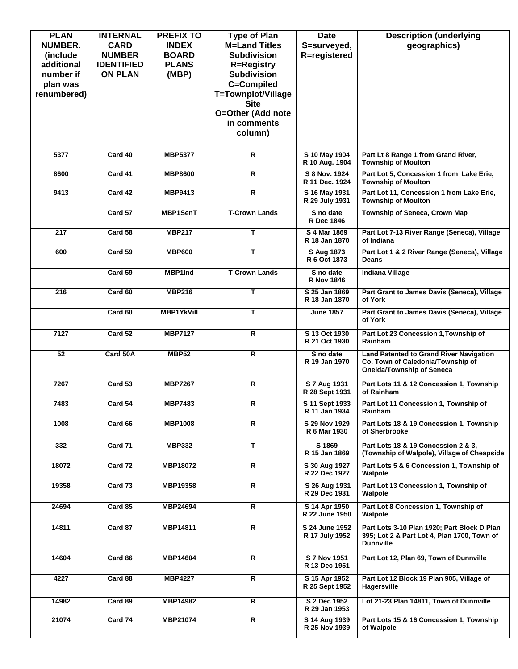| <b>PLAN</b><br><b>NUMBER.</b><br>(include)<br>additional<br>number if<br>plan was<br>renumbered) | <b>INTERNAL</b><br><b>CARD</b><br><b>NUMBER</b><br><b>IDENTIFIED</b><br><b>ON PLAN</b> | <b>PREFIX TO</b><br><b>INDEX</b><br><b>BOARD</b><br><b>PLANS</b><br>(MBP) | <b>Type of Plan</b><br><b>M=Land Titles</b><br><b>Subdivision</b><br><b>R=Registry</b><br><b>Subdivision</b><br>C=Compiled<br>T=Townplot/Village<br><b>Site</b><br>O=Other (Add note<br>in comments<br>column) | <b>Date</b><br>S=surveyed,<br>R=registered | <b>Description (underlying</b><br>geographics)                                                                          |
|--------------------------------------------------------------------------------------------------|----------------------------------------------------------------------------------------|---------------------------------------------------------------------------|----------------------------------------------------------------------------------------------------------------------------------------------------------------------------------------------------------------|--------------------------------------------|-------------------------------------------------------------------------------------------------------------------------|
| 5377                                                                                             | Card 40                                                                                | <b>MBP5377</b>                                                            | $\overline{R}$                                                                                                                                                                                                 | S 10 May 1904<br>R 10 Aug. 1904            | Part Lt 8 Range 1 from Grand River,<br><b>Township of Moulton</b>                                                       |
| 8600                                                                                             | Card 41                                                                                | <b>MBP8600</b>                                                            | $\overline{R}$                                                                                                                                                                                                 | S 8 Nov. 1924<br>R 11 Dec. 1924            | Part Lot 5, Concession 1 from Lake Erie,<br><b>Township of Moulton</b>                                                  |
| 9413                                                                                             | Card 42                                                                                | <b>MBP9413</b>                                                            | $\overline{\mathsf{R}}$                                                                                                                                                                                        | S 16 May 1931<br>R 29 July 1931            | Part Lot 11, Concession 1 from Lake Erie,<br><b>Township of Moulton</b>                                                 |
|                                                                                                  | Card 57                                                                                | <b>MBP1SenT</b>                                                           | <b>T-Crown Lands</b>                                                                                                                                                                                           | S no date<br>R Dec 1846                    | <b>Township of Seneca, Crown Map</b>                                                                                    |
| 217                                                                                              | Card 58                                                                                | <b>MBP217</b>                                                             | T                                                                                                                                                                                                              | S 4 Mar 1869<br>R 18 Jan 1870              | Part Lot 7-13 River Range (Seneca), Village<br>of Indiana                                                               |
| 600                                                                                              | Card 59                                                                                | <b>MBP600</b>                                                             | T                                                                                                                                                                                                              | S Aug 1873<br>R 6 Oct 1873                 | Part Lot 1 & 2 River Range (Seneca), Village<br><b>Deans</b>                                                            |
|                                                                                                  | Card 59                                                                                | MBP1Ind                                                                   | <b>T-Crown Lands</b>                                                                                                                                                                                           | S no date<br><b>R Nov 1846</b>             | <b>Indiana Village</b>                                                                                                  |
| 216                                                                                              | Card 60                                                                                | <b>MBP216</b>                                                             | т                                                                                                                                                                                                              | S 25 Jan 1869<br>R 18 Jan 1870             | Part Grant to James Davis (Seneca), Village<br>of York                                                                  |
|                                                                                                  | Card 60                                                                                | <b>MBP1YkVill</b>                                                         | T                                                                                                                                                                                                              | <b>June 1857</b>                           | Part Grant to James Davis (Seneca), Village<br>of York                                                                  |
| 7127                                                                                             | Card 52                                                                                | <b>MBP7127</b>                                                            | $\overline{R}$                                                                                                                                                                                                 | S 13 Oct 1930<br>R 21 Oct 1930             | Part Lot 23 Concession 1, Township of<br>Rainham                                                                        |
| 52                                                                                               | Card 50A                                                                               | <b>MBP52</b>                                                              | R                                                                                                                                                                                                              | S no date<br>R 19 Jan 1970                 | <b>Land Patented to Grand River Navigation</b><br>Co, Town of Caledonia/Township of<br><b>Oneida/Township of Seneca</b> |
| 7267                                                                                             | Card 53                                                                                | <b>MBP7267</b>                                                            | R                                                                                                                                                                                                              | S 7 Aug 1931<br>R 28 Sept 1931             | Part Lots 11 & 12 Concession 1, Township<br>of Rainham                                                                  |
| 7483                                                                                             | Card 54                                                                                | <b>MBP7483</b>                                                            | R                                                                                                                                                                                                              | S 11 Sept 1933<br>R 11 Jan 1934            | Part Lot 11 Concession 1, Township of<br>Rainham                                                                        |
| 1008                                                                                             | Card 66                                                                                | <b>MBP1008</b>                                                            | R                                                                                                                                                                                                              | S 29 Nov 1929<br>R 6 Mar 1930              | Part Lots 18 & 19 Concession 1, Township<br>of Sherbrooke                                                               |
| 332                                                                                              | Card 71                                                                                | <b>MBP332</b>                                                             | т                                                                                                                                                                                                              | S 1869<br>R 15 Jan 1869                    | Part Lots 18 & 19 Concession 2 & 3,<br>(Township of Walpole), Village of Cheapside                                      |
| 18072                                                                                            | Card 72                                                                                | <b>MBP18072</b>                                                           | R                                                                                                                                                                                                              | S 30 Aug 1927<br>R 22 Dec 1927             | Part Lots 5 & 6 Concession 1, Township of<br>Walpole                                                                    |
| 19358                                                                                            | Card 73                                                                                | <b>MBP19358</b>                                                           | R                                                                                                                                                                                                              | S 26 Aug 1931<br>R 29 Dec 1931             | Part Lot 13 Concession 1, Township of<br>Walpole                                                                        |
| 24694                                                                                            | Card 85                                                                                | MBP24694                                                                  | R                                                                                                                                                                                                              | S 14 Apr 1950<br>R 22 June 1950            | Part Lot 8 Concession 1, Township of<br>Walpole                                                                         |
| 14811                                                                                            | Card 87                                                                                | MBP14811                                                                  | R                                                                                                                                                                                                              | S 24 June 1952<br>R 17 July 1952           | Part Lots 3-10 Plan 1920; Part Block D Plan<br>395; Lot 2 & Part Lot 4, Plan 1700, Town of<br><b>Dunnville</b>          |
| 14604                                                                                            | Card 86                                                                                | MBP14604                                                                  | R.                                                                                                                                                                                                             | S 7 Nov 1951<br>R 13 Dec 1951              | Part Lot 12, Plan 69, Town of Dunnville                                                                                 |
| 4227                                                                                             | Card 88                                                                                | <b>MBP4227</b>                                                            | $\overline{\mathsf{R}}$                                                                                                                                                                                        | S 15 Apr 1952<br>R 25 Sept 1952            | Part Lot 12 Block 19 Plan 905, Village of<br>Hagersville                                                                |
| 14982                                                                                            | Card 89                                                                                | <b>MBP14982</b>                                                           | R                                                                                                                                                                                                              | S 2 Dec 1952<br>R 29 Jan 1953              | Lot 21-23 Plan 14811, Town of Dunnville                                                                                 |
| 21074                                                                                            | Card 74                                                                                | MBP21074                                                                  | R.                                                                                                                                                                                                             | S 14 Aug 1939<br>R 25 Nov 1939             | Part Lots 15 & 16 Concession 1, Township<br>of Walpole                                                                  |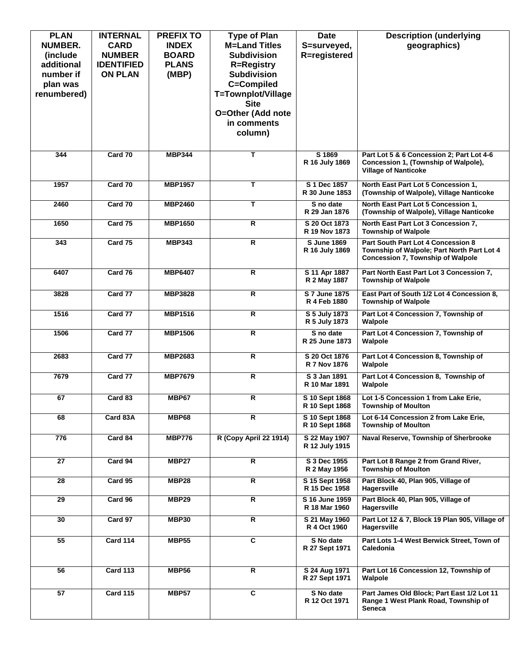| <b>PLAN</b><br><b>NUMBER.</b><br>(include)<br>additional<br>number if<br>plan was<br>renumbered) | <b>INTERNAL</b><br><b>CARD</b><br><b>NUMBER</b><br><b>IDENTIFIED</b><br><b>ON PLAN</b> | <b>PREFIX TO</b><br><b>INDEX</b><br><b>BOARD</b><br><b>PLANS</b><br>(MBP) | <b>Type of Plan</b><br><b>M=Land Titles</b><br><b>Subdivision</b><br><b>R=Registry</b><br><b>Subdivision</b><br>C=Compiled<br>T=Townplot/Village<br><b>Site</b><br>O=Other (Add note<br>in comments<br>column) | <b>Date</b><br>S=surveyed,<br><b>R</b> =registered | <b>Description (underlying</b><br>geographics)                                                                               |
|--------------------------------------------------------------------------------------------------|----------------------------------------------------------------------------------------|---------------------------------------------------------------------------|----------------------------------------------------------------------------------------------------------------------------------------------------------------------------------------------------------------|----------------------------------------------------|------------------------------------------------------------------------------------------------------------------------------|
| 344                                                                                              | Card 70                                                                                | <b>MBP344</b>                                                             | T                                                                                                                                                                                                              | S 1869<br>R 16 July 1869                           | Part Lot 5 & 6 Concession 2; Part Lot 4-6<br>Concession 1, (Township of Walpole),<br><b>Village of Nanticoke</b>             |
| 1957                                                                                             | Card 70                                                                                | <b>MBP1957</b>                                                            | Т                                                                                                                                                                                                              | S 1 Dec 1857<br>R 30 June 1853                     | North East Part Lot 5 Concession 1,<br>(Township of Walpole), Village Nanticoke                                              |
| 2460                                                                                             | Card 70                                                                                | <b>MBP2460</b>                                                            | T                                                                                                                                                                                                              | S no date<br>R 29 Jan 1876                         | North East Part Lot 5 Concession 1.<br>(Township of Walpole), Village Nanticoke                                              |
| 1650                                                                                             | Card 75                                                                                | <b>MBP1650</b>                                                            | $\overline{\mathsf{R}}$                                                                                                                                                                                        | S 20 Oct 1873<br>R 19 Nov 1873                     | North East Part Lot 3 Concession 7,<br><b>Township of Walpole</b>                                                            |
| 343                                                                                              | Card 75                                                                                | <b>MBP343</b>                                                             | $\overline{R}$                                                                                                                                                                                                 | <b>S</b> June 1869<br>R 16 July 1869               | Part South Part Lot 4 Concession 8<br>Township of Walpole; Part North Part Lot 4<br><b>Concession 7, Township of Walpole</b> |
| 6407                                                                                             | Card 76                                                                                | <b>MBP6407</b>                                                            | $\overline{R}$                                                                                                                                                                                                 | S 11 Apr 1887<br>R 2 May 1887                      | Part North East Part Lot 3 Concession 7.<br><b>Township of Walpole</b>                                                       |
| 3828                                                                                             | Card 77                                                                                | <b>MBP3828</b>                                                            | R                                                                                                                                                                                                              | S 7 June 1875<br>R 4 Feb 1880                      | East Part of South 1/2 Lot 4 Concession 8,<br><b>Township of Walpole</b>                                                     |
| 1516                                                                                             | Card 77                                                                                | <b>MBP1516</b>                                                            | R                                                                                                                                                                                                              | S 5 July 1873<br>R 5 July 1873                     | Part Lot 4 Concession 7, Township of<br>Walpole                                                                              |
| 1506                                                                                             | Card 77                                                                                | <b>MBP1506</b>                                                            | $\overline{\mathsf{R}}$                                                                                                                                                                                        | S no date<br>R 25 June 1873                        | Part Lot 4 Concession 7, Township of<br>Walpole                                                                              |
| 2683                                                                                             | Card 77                                                                                | MBP2683                                                                   | $\overline{R}$                                                                                                                                                                                                 | S 20 Oct 1876<br>R 7 Nov 1876                      | Part Lot 4 Concession 8, Township of<br>Walpole                                                                              |
| 7679                                                                                             | Card 77                                                                                | <b>MBP7679</b>                                                            | $\overline{R}$                                                                                                                                                                                                 | S 3 Jan 1891<br>R 10 Mar 1891                      | Part Lot 4 Concession 8, Township of<br>Walpole                                                                              |
| 67                                                                                               | Card 83                                                                                | MBP67                                                                     | $\overline{\mathsf{R}}$                                                                                                                                                                                        | S 10 Sept 1868<br>R 10 Sept 1868                   | Lot 1-5 Concession 1 from Lake Erie,<br><b>Township of Moulton</b>                                                           |
| 68                                                                                               | Card 83A                                                                               | <b>MBP68</b>                                                              | R                                                                                                                                                                                                              | S 10 Sept 1868<br>R 10 Sept 1868                   | Lot 6-14 Concession 2 from Lake Erie,<br><b>Township of Moulton</b>                                                          |
| 776                                                                                              | Card 84                                                                                | <b>MBP776</b>                                                             | R (Copy April 22 1914)                                                                                                                                                                                         | S 22 May 1907<br>R 12 July 1915                    | Naval Reserve, Township of Sherbrooke                                                                                        |
| 27                                                                                               | Card 94                                                                                | MBP27                                                                     | R                                                                                                                                                                                                              | S 3 Dec 1955<br>R 2 May 1956                       | Part Lot 8 Range 2 from Grand River,<br><b>Township of Moulton</b>                                                           |
| 28                                                                                               | Card 95                                                                                | <b>MBP28</b>                                                              | R                                                                                                                                                                                                              | S 15 Sept 1958<br>R 15 Dec 1958                    | Part Block 40, Plan 905, Village of<br>Hagersville                                                                           |
| 29                                                                                               | Card 96                                                                                | MBP29                                                                     | R                                                                                                                                                                                                              | S 16 June 1959<br>R 18 Mar 1960                    | Part Block 40, Plan 905, Village of<br>Hagersville                                                                           |
| 30                                                                                               | Card 97                                                                                | <b>MBP30</b>                                                              | R                                                                                                                                                                                                              | S 21 May 1960<br>R 4 Oct 1960                      | Part Lot 12 & 7, Block 19 Plan 905, Village of<br>Hagersville                                                                |
| 55                                                                                               | Card 114                                                                               | <b>MBP55</b>                                                              | C                                                                                                                                                                                                              | S No date<br>R 27 Sept 1971                        | Part Lots 1-4 West Berwick Street, Town of<br>Caledonia                                                                      |
| 56                                                                                               | <b>Card 113</b>                                                                        | <b>MBP56</b>                                                              | R                                                                                                                                                                                                              | S 24 Aug 1971<br>R 27 Sept 1971                    | Part Lot 16 Concession 12, Township of<br>Walpole                                                                            |
| 57                                                                                               | <b>Card 115</b>                                                                        | <b>MBP57</b>                                                              | C                                                                                                                                                                                                              | S No date<br>R 12 Oct 1971                         | Part James Old Block; Part East 1/2 Lot 11<br>Range 1 West Plank Road, Township of<br>Seneca                                 |